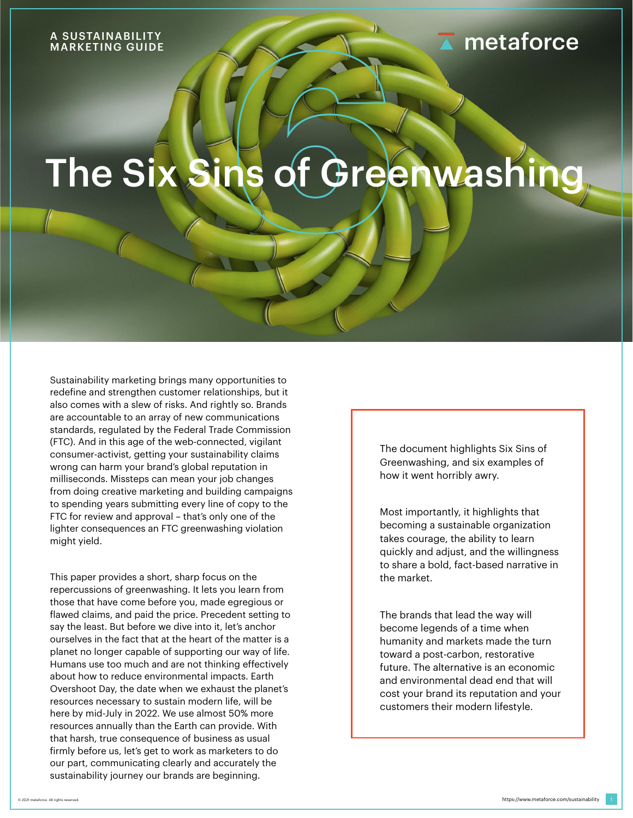Sustainability marketing brings many opportunities to redefine and strengthen customer relationships, but it also comes with a slew of risks. And rightly so. Brands are accountable to an array of new communications standards, regulated by the Federal Trade Commission (FTC). And in this age of the web-connected, vigilant consumer-activist, getting your sustainability claims wrong can harm your brand's global reputation in milliseconds. Missteps can mean your job changes from doing creative marketing and building campaigns to spending years submitting every line of copy to the FTC for review and approval – that's only one of the lighter consequences an FTC greenwashing violation might yield.



This paper provides a short, sharp focus on the repercussions of greenwashing. It lets you learn from those that have come before you, made egregious or flawed claims, and paid the price. Precedent setting to say the least. But before we dive into it, let's anchor ourselves in the fact that at the heart of the matter is a planet no longer capable of supporting our way of life. Humans use too much and are not thinking effectively about how to reduce environmental impacts. Earth Overshoot Day, the date when we exhaust the planet's resources necessary to sustain modern life, will be here by mid-July in 2022. We use almost 50% more resources annually than the Earth can provide. With that harsh, true consequence of business as usual firmly before us, let's get to work as marketers to do our part, communicating clearly and accurately the sustainability journey our brands are beginning.

The document highlights Six Sins of Greenwashing, and six examples of how it went horribly awry.

Most importantly, it highlights that becoming a sustainable organization takes courage, the ability to learn quickly and adjust, and the willingness to share a bold, fact-based narrative in the market.

The brands that lead the way will become legends of a time when humanity and markets made the turn toward a post-carbon, restorative future. The alternative is an economic and environmental dead end that will cost your brand its reputation and your customers their modern lifestyle.

## A SUSTAINABILITY

## **A** metaforce



# The Six Sins of Greenwashing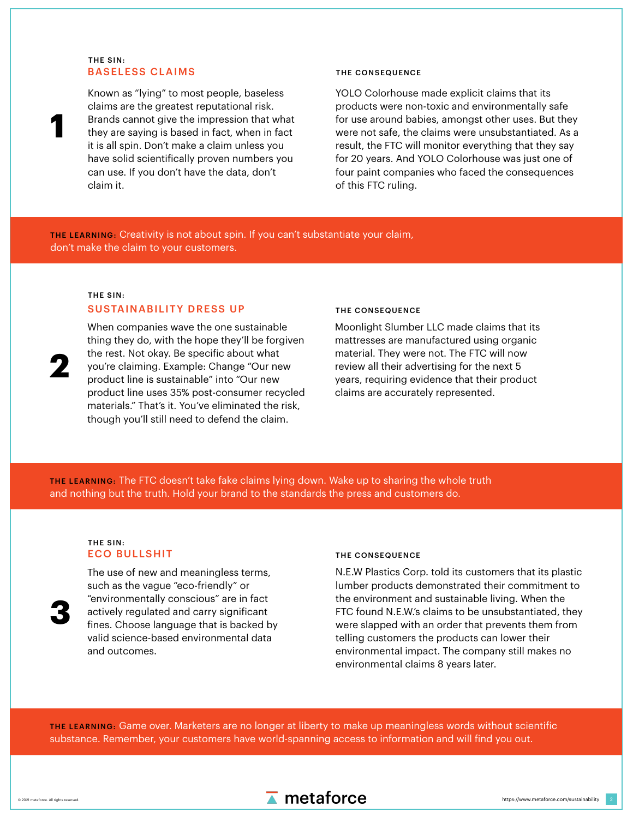Known as "lying" to most people, baseless claims are the greatest reputational risk. Brands cannot give the impression that what they are saying is based in fact, when in fact it is all spin. Don't make a claim unless you have solid scientifically proven numbers you can use. If you don't have the data, don't claim it.

YOLO Colorhouse made explicit claims that its products were non-toxic and environmentally safe for use around babies, amongst other uses. But they were not safe, the claims were unsubstantiated. As a result, the FTC will monitor everything that they say for 20 years. And YOLO Colorhouse was just one of four paint companies who faced the consequences of this FTC ruling.

**1**

### SUSTAINABILITY DRESS UP THE CONSEQUENCE

**2**

2



### THE LEARNING: Creativity is not about spin. If you can't substantiate your claim, don't make the claim to your customers.

THE LEARNING: The FTC doesn't take fake claims lying down. Wake up to sharing the whole truth and nothing but the truth. Hold your brand to the standards the press and customers do.

When companies wave the one sustainable

thing they do, with the hope they'll be forgiven the rest. Not okay. Be specific about what you're claiming. Example: Change "Our new product line is sustainable" into "Our new product line uses 35% post-consumer recycled materials." That's it. You've eliminated the risk, though you'll still need to defend the claim.

### BASELESS CLAIMS THE CONSEQUENCE THE SIN:

### ECO BULLSHIT THE CONSEQUENCE THE SIN:

Moonlight Slumber LLC made claims that its mattresses are manufactured using organic material. They were not. The FTC will now review all their advertising for the next 5 years, requiring evidence that their product claims are accurately represented.



The use of new and meaningless terms, such as the vague "eco-friendly" or "environmentally conscious" are in fact actively regulated and carry significant fines. Choose language that is backed by valid science-based environmental data and outcomes.

N.E.W Plastics Corp. told its customers that its plastic lumber products demonstrated their commitment to the environment and sustainable living. When the FTC found N.E.W.'s claims to be unsubstantiated, they were slapped with an order that prevents them from telling customers the products can lower their environmental impact. The company still makes no environmental claims 8 years later.

### THE LEARNING: Game over. Marketers are no longer at liberty to make up meaningless words without scientific substance. Remember, your customers have world-spanning access to information and will find you out.

### THE SIN: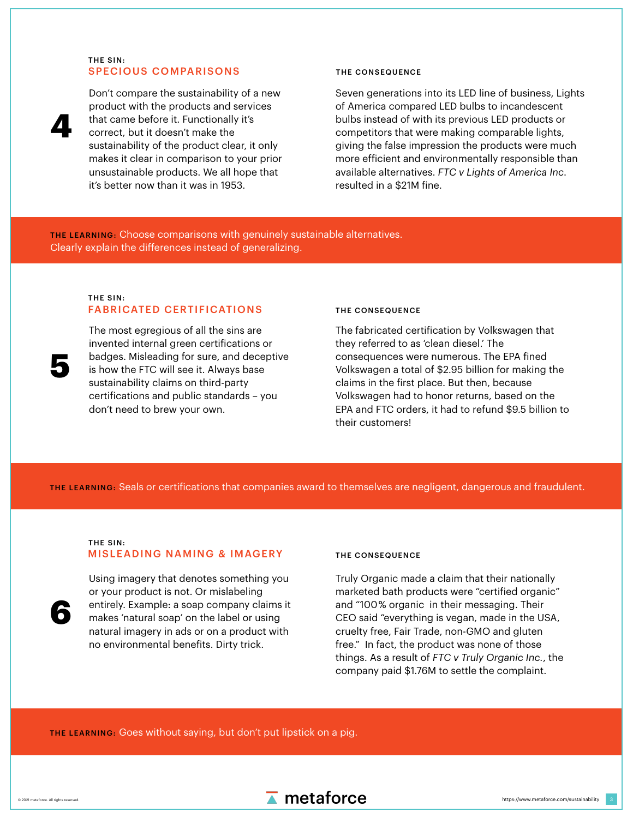Don't compare the sustainability of a new product with the products and services that came before it. Functionally it's correct, but it doesn't make the sustainability of the product clear, it only makes it clear in comparison to your prior unsustainable products. We all hope that it's better now than it was in 1953.

Seven generations into its LED line of business, Lights of America compared LED bulbs to incandescent bulbs instead of with its previous LED products or competitors that were making comparable lights, giving the false impression the products were much more efficient and environmentally responsible than available alternatives. *FTC v Lights of America Inc.*  resulted in a \$21M fine.

**4**

**5**

3



THE LEARNING: Choose comparisons with genuinely sustainable alternatives. Clearly explain the differences instead of generalizing.

> The most egregious of all the sins are invented internal green certifications or badges. Misleading for sure, and deceptive is how the FTC will see it. Always base sustainability claims on third-party certifications and public standards – you don't need to brew your own.

### SPECIOUS COMPARISONS THE CONSEQUENCE THE SIN:

### FABRICATED CERTIFICATIONS THE CONSEQUENCE THE SIN:

The fabricated certification by Volkswagen that they referred to as 'clean diesel.' The consequences were numerous. The EPA fined Volkswagen a total of \$2.95 billion for making the claims in the first place. But then, because Volkswagen had to honor returns, based on the EPA and FTC orders, it had to refund \$9.5 billion to their customers!

### THE LEARNING: Seals or certifications that companies award to themselves are negligent, dangerous and fraudulent.



Using imagery that denotes something you or your product is not. Or mislabeling entirely. Example: a soap company claims it makes 'natural soap' on the label or using natural imagery in ads or on a product with no environmental benefits. Dirty trick.

Truly Organic made a claim that their nationally marketed bath products were "certified organic" and "100% organic in their messaging. Their CEO said "everything is vegan, made in the USA, cruelty free, Fair Trade, non-GMO and gluten free." In fact, the product was none of those things. As a result of *FTC v Truly Organic Inc.*, the

### company paid \$1.76M to settle the complaint.

### MISLEADING NAMING & IMAGERY THE CONSEQUENCE THE SIN:

### THE LEARNING: Goes without saying, but don't put lipstick on a pig.